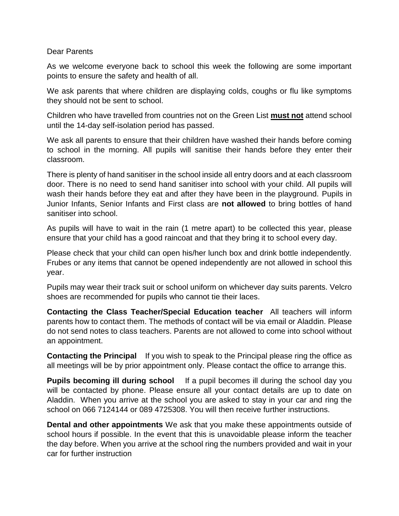## Dear Parents

As we welcome everyone back to school this week the following are some important points to ensure the safety and health of all.

We ask parents that where children are displaying colds, coughs or flu like symptoms they should not be sent to school.

Children who have travelled from countries not on the Green List **must not** attend school until the 14-day self-isolation period has passed.

We ask all parents to ensure that their children have washed their hands before coming to school in the morning. All pupils will sanitise their hands before they enter their classroom.

There is plenty of hand sanitiser in the school inside all entry doors and at each classroom door. There is no need to send hand sanitiser into school with your child. All pupils will wash their hands before they eat and after they have been in the playground. Pupils in Junior Infants, Senior Infants and First class are **not allowed** to bring bottles of hand sanitiser into school.

As pupils will have to wait in the rain (1 metre apart) to be collected this year, please ensure that your child has a good raincoat and that they bring it to school every day.

Please check that your child can open his/her lunch box and drink bottle independently. Frubes or any items that cannot be opened independently are not allowed in school this year.

Pupils may wear their track suit or school uniform on whichever day suits parents. Velcro shoes are recommended for pupils who cannot tie their laces.

**Contacting the Class Teacher/Special Education teacher** All teachers will inform parents how to contact them. The methods of contact will be via email or Aladdin. Please do not send notes to class teachers. Parents are not allowed to come into school without an appointment.

**Contacting the Principal** If you wish to speak to the Principal please ring the office as all meetings will be by prior appointment only. Please contact the office to arrange this.

**Pupils becoming ill during school** If a pupil becomes ill during the school day you will be contacted by phone. Please ensure all your contact details are up to date on Aladdin. When you arrive at the school you are asked to stay in your car and ring the school on 066 7124144 or 089 4725308. You will then receive further instructions.

**Dental and other appointments** We ask that you make these appointments outside of school hours if possible. In the event that this is unavoidable please inform the teacher the day before. When you arrive at the school ring the numbers provided and wait in your car for further instruction